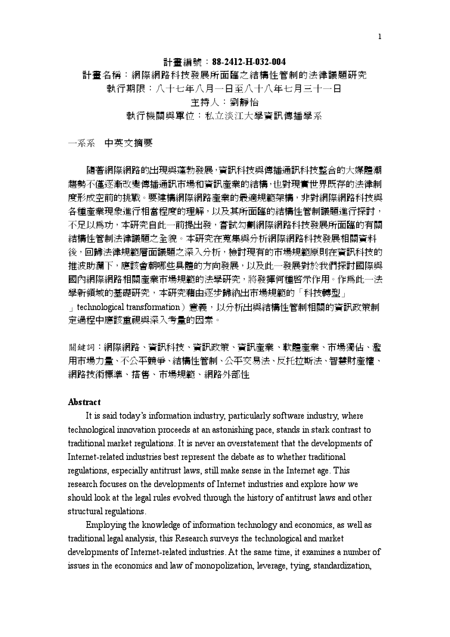## 計畫編號: 88-2412-H-032-004

## 計畫名稱:網際網路科技發展所面臨之結構性管制的法律議題硏究 執行期限:八十七年八月一日至八十八年七月三十一日

主持人:劉靜怡

執行機關與軍位:私立淡江大學資訊值播學系

一系系 中英文摘要

隨著網際網路的出現與蓬勃發展,畜訊科技與億播涌訊科技整合的大媒體潮 **趨勢不僅逐漸改變傳播通訊市場和資訊產業的結構,也對現實世界既存的法律制** 度形成空前的挑戰。要建構網際網路產業的最適規範架構,非對網際網路科技與 各種產業現象進行相當程度的理解,以及其所面臨的結構性管制議題進行探討, 不足以為功,本研究自此一前提出發,嘗試勾劃網際網路科技發展所面臨的有關 結構性管制法律議題之全貌。本研究在蒐集與分析網際網路科技發展相關資料 後,回歸法律規範層面議題之深入分析,檢討現有的市場規範原則在資訊科技的 推波助瀾下,應該會朝哪些具體的方向發展,以及此一發展對於我們探討國際與 國內網際網路相關產業市場規範的法學研究,將發揮何種啓示作用。作爲此一法 學新領域的基礎研究,本研究藉由逐步歸納出市場規範的「科技轉型」 | technological transformation)意義,以分析出與結構性管制相關的資訊政策制 定過程中應該重視與深入考量的因素。

關鍵詞:網際網路、資訊科技、資訊政策、資訊產業、軟體產業、市場獨佔、濫 用市場力量、不公平競爭、結構性管制、公平交易法、反托拉斯法、智慧財產權、 網路技術標準、搭售、市場規範、網路外部性

## Abstract

It is said today's information industry, particularly software industry, where technological innovation proceeds at an astonishing pace, stands in stark contrast to traditional market regulations. It is never an overstatement that the developments of Internet-related industries best represent the debate as to whether traditional regulations, especially antitrust laws, still make sense in the Internet age. This research focuses on the developments of Internet industries and explore how we should look at the legal rules evolved through the history of antitrust laws and other structural regulations.

Employing the knowledge of information technology and economics, as well as traditional legal analysis, this Research surveys the technological and market developments of Internet-related industries. At the same time, it examines a number of issues in the economics and law of monopolization, leverage, tying, standardization,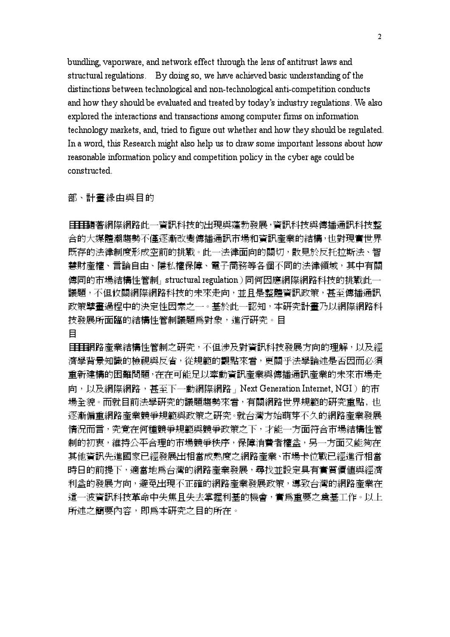bundling, vaporware, and network effect through the lens of antitrust laws and structural regulations. By doing so, we have achieved basic understanding of the distinctions between technological and non-technological anti-competition conducts and how they should be evaluated and treated by today's industry regulations. We also explored the interactions and transactions among computer firms on information technology markets, and, tried to figure out whether and how they should be regulated. In a word, this Research might also help us to draw some important lessons about how reasonable information policy and competition policy in the cyber age could be constructed

部、計畫綠中與目的

日田譴著網際網路此一資訊科技的出現與蓬勃發展,資訊科技與傳播通訊科技整 合的大媒體潮趨勢不僅涿漸改變傳播通訊市場和資訊產業的結構,也對現實世界 既存的法律制度形成空前的挑戰。此一法律面向的關切,散見於反托拉斯法、智 慧財產權、言論自由、隱私權保障、電子商務等各個不同的法律領域,其中有關 傳同的市場結構性管制 structural regulation)同何因應網際網路科技的挑戰此一 議題,不但攸關網際網路科技的未來走向,並且是整體資訊政策,甚至傳播通訊 政策擘畫過程中的決定性因素之一。基於此一認知,本研究計畫乃以網際網路科 技發展所面臨的結構性管制議題爲對象,進行硏究。目

日

**目目辋**路產業結構性管制之硏究,不但涉及對資訊科技發展方向的理解,以及經 濟學背景知識的檢視與反省,從規範的觀點來看,更關乎法學論述是否因而必須 重新建構的困難問題,在在可能足以牽動資訊產業與傳播通訊產業的未來市場走 向,以及網際網路,甚至下一動網際網路」Next Generation Internet, NGI)的市 場全貌。而就目前法學硏究的議題趨勢來看,有關網路世界規範的硏究重點,也 逐漸偏重網路產業競爭規範與政策之硏究。就台灣方始萌芽不久的網路產業發展 情況而言,究竟在何種競爭規範與競爭政策之下,才能一方面符合市場結構性管 制的初衷,維持公平合理的市場競爭秩序,保障消費者權益,另一方面又能夠在 其他資訊先進國家已經發展出相當成熟度之網路產業、市場卡位戰已經進行相當 時日的前提下,適當地爲台灣的網路產業發展,尋找並設定具有實質價值與經濟 利益的發展方向,避免出現不正確的網路產業發展政策,導致台灣的網路產業在 這一波資訊科技革命中失焦且失去掌握利基的機會,實爲重要之奠基工作。以上 所述之簡要內容,即爲本硏究之目的所在。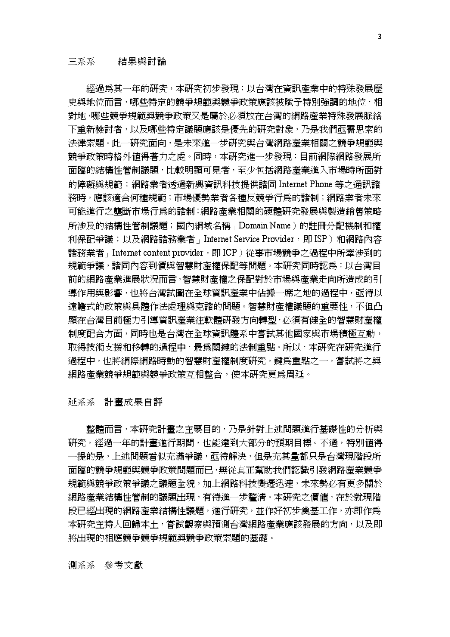經渦爲其一年的研究,本研究初步發現:以台灣在資訊產業中的特殊發展歷 史與地位而言,哪些特定的競爭規範與競爭政策應該被賦予特別确調的地位,相 對地,哪些競爭規範與競爭政策又是屬於必須放在台灣的網路產業特殊發展脈絡 下重新檢討者,以及哪些特定議題應該是優先的研究對象,乃是我們亟需思索的 法律索題。此一硏究面向,是未來進一步硏究與台灣網路產業相關之競爭規範與 競爭政策時格外値得著力之處。同時,本研究進一步發現:目前網際網路發展所 面臨的結構性管制議題,比較明顯可見者,至少包括網路產業進入市場時所面對 的障礙與規範;網路業者透過新興資訊科技提供諸同 Internet Phone 等之涌訊諸 務時,應該適合何種規範;市場優勢業者各種反競爭行爲的諸制;網路業者未來 可能進行之壟斷市場行爲的諸制;網路產業相關的硬體研究發展與製造銷售策略 所涉及的結構性管制議題;國內網域名稱」Domain Name)的註冊分配機制和權 利保配爭議;以及網路諸務業者」Internet Service Provider,即 ISP)和網路內容 諸務業者」Internet content provider,即ICP)從事市場競爭之過程中所牽涉到的 規範爭議,諸同內容到價與智慧財產權保配等問題。本研究同時認爲:以台灣目 前的網路產業進展狀況而言,智慧財產權之保配對於市場與產業走向所造成的引 導作用與影響,也將台灣試圖在全球資訊產業中佔據一席之地的過程中,亟待以 遠瞻式的政策與具體作法處理與克諸的問題。智慧財產權議題的重要性,不但凸 顯在台灣目前極力引導資訊產業往軟體研發方向轉型,必須有健全的智慧財產權 制度配合方面,同時也是台灣在全球資訊體系中嘗試其他國家與市場積極互動, 取得技術支援和移轉的過程中,最爲關鍵的法制重點。所以,本硏究在硏究進行 過程中,也將網際網路時動的智慧財產權制度硏究,鍵爲重點之一,嘗試將之與 網路產業競爭規範與競爭政策互相整合,使本硏究更爲周延。

延系系 計畫成果自評

整體而言,本硏究計畫之主要目的,乃是針對上述問題進行基礎性的分析與 研究,經過一年的計畫進行期間,也能達到大部分的預期目標。不過,特別值得 一提的是,上述問題看似充滿爭議,亟待解決,但是充其暈都只是台灣現階段所 面臨的競爭規範與競爭政策問題而已,無從真正幫助我們認識引發網路產業競爭 規範與競爭政策爭議之議題全貌,加上網路科技變遷迅速,未來勢必有更多關於 網路產業結構性管制的議題出現,有待進一步釐清。本硏究之價值,在於就現階 段已經出現的網路產業結構性議題,進行研究,並作好初步奠基工作,亦即作爲 本研究主持人回歸本土,嘗試觀察與預測台灣網路產業應該發展的方向,以及即 將出現的相應競爭競爭規範與競爭政策索題的基礎。

測系系 參考文獻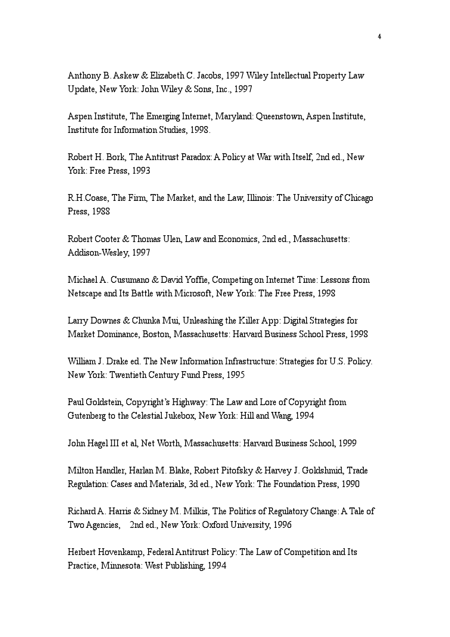Anthony B. Askew & Elizabeth C. Jacobs, 1997 Wiley Intellectual Property Law Update, New York: John Wiley & Sons, Inc., 1997

Aspen Institute, The Emerging Internet, Maryland: Queenstown, Aspen Institute, Institute for Information Studies, 1998.

Robert H. Bork, The Antitrust Paradox: A Policy at War with Itself, 2nd ed., New York: Free Press, 1993

R.H.Coase, The Firm, The Market, and the Law, Illinois: The University of Chicago Press, 1988

Robert Cooter & Thomas Ulen, Law and Economics, 2nd ed., Massachusetts: Addison-Wesley, 1997

Michael A. Cusumano & David Yoffie, Competing on Internet Time: Lessons from Netscape and Its Battle with Microsoft, New York: The Free Press, 1998

Larry Downes & Chunka Mui, Unleashing the Killer App: Digital Strategies for Market Dominance, Boston, Massachusetts: Harvard Business School Press, 1998

William J. Drake ed. The New Information Infrastructure: Strategies for U.S. Policy. New York: Twentieth Century Fund Press, 1995

Paul Goldstein, Copyright's Highway: The Law and Lore of Copyright from Gutenberg to the Celestial Jukebox, New York: Hill and Wang, 1994

John Hagel III et al, Net Worth, Massachusetts: Harvard Business School, 1999

Milton Handler, Harlan M. Blake, Robert Pitofsky & Harvey J. Goldshmid, Trade Regulation: Cases and Materials, 3d ed., New York: The Foundation Press, 1990

Richard A. Harris & Sidney M. Milkis, The Politics of Regulatory Change: A Tale of Two Agencies, 2nd ed., New York: Oxford University, 1996

Herbert Hovenkamp, Federal Antitrust Policy: The Law of Competition and Its Practice, Minnesota: West Publishing, 1994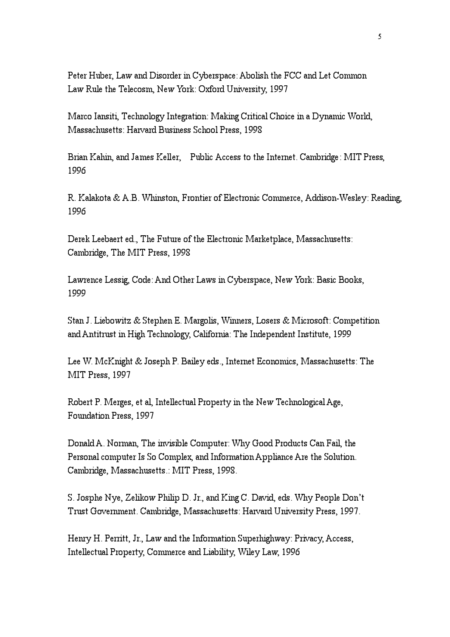Peter Huber, Law and Disorder in Cyberspace: Abolish the FCC and Let Common Law Rule the Telecosm, New York: Oxford University, 1997

Marco Iansiti, Technology Integration: Making Critical Choice in a Dynamic World, Massachusetts: Harvard Business School Press, 1998

Brian Kahin, and James Keller, Public Access to the Internet. Cambridge: MIT Press, 1996

R. Kalakota & A.B. Whinston, Frontier of Electronic Commerce, Addison-Wesley: Reading, 1996

Derek Leebaert ed., The Future of the Electronic Marketplace, Massachusetts: Cambridge, The MIT Press, 1998

Lawrence Lessig, Code: And Other Laws in Cyberspace, New York: Basic Books, 1999

Stan J. Liebowitz & Stephen E. Margolis, Winners, Losers & Microsoft: Competition and Antitrust in High Technology, California: The Independent Institute, 1999

Lee W. McKnight & Joseph P. Bailey eds., Internet Economics, Massachusetts: The MIT Press, 1997

Robert P. Merges, et al, Intellectual Property in the New Technological Age, Foundation Press, 1997

Donald A. Norman, The invisible Computer: Why Good Products Can Fail, the Personal computer Is So Complex, and Information Appliance Are the Solution. Cambridge, Massachusetts.: MIT Press, 1998.

S. Josphe Nye, Zelikow Philip D. Jr., and King C. David, eds. Why People Don't Trust Government. Cambridge, Massachusetts: Harvard University Press, 1997.

Henry H. Perritt, Jr., Law and the Information Superhighway: Privacy, Access, Intellectual Property, Commerce and Liability, Wiley Law, 1996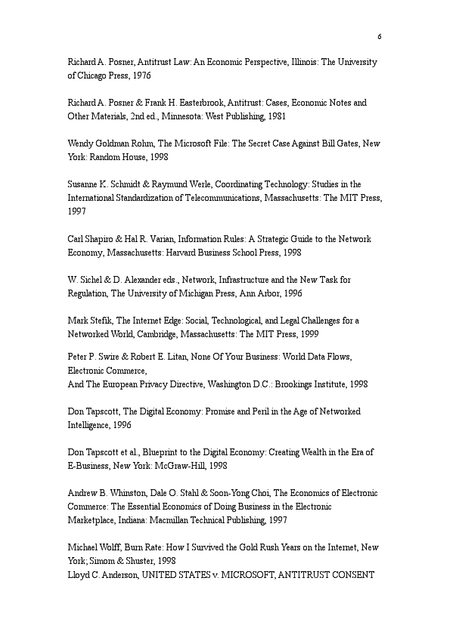Richard A. Posner, Antitrust Law: An Economic Perspective, Illinois: The University of Chicago Press, 1976

Richard A. Posner & Frank H. Easterbrook, Antitrust: Cases, Economic Notes and Other Materials, 2nd ed., Minnesota: West Publishing, 1981

Wendy Goldman Rohm, The Microsoft File: The Secret Case Against Bill Gates, New York: Random House, 1998

Susanne K. Schmidt & Raymund Werle, Coordinating Technology: Studies in the International Standardization of Telecommunications, Massachusetts: The MIT Press, 1997

Carl Shapiro & Hal R. Varian, Information Rules: A Strategic Guide to the Network Economy, Massachusetts: Harvard Business School Press, 1998

W. Sichel & D. Alexander eds., Network, Infrastructure and the New Task for Regulation, The University of Michigan Press, Ann Arbor, 1996

Mark Stefik, The Internet Edge: Social, Technological, and Legal Challenges for a Networked World, Cambridge, Massachusetts: The MIT Press, 1999

Peter P. Swire & Robert E. Litan, None Of Your Business: World Data Flows, Electronic Commerce, And The European Privacy Directive, Washington D.C.: Brookings Institute, 1998

Don Tapscott, The Digital Economy: Promise and Peril in the Age of Networked Intelligence, 1996

Don Tapscott et al., Blueprint to the Digital Economy: Creating Wealth in the Era of E-Business, New York: McGraw-Hill, 1998

Andrew B. Whinston, Dale O. Stahl & Soon-Yong Choi, The Economics of Electronic Commerce: The Essential Economics of Doing Business in the Electronic Marketplace, Indiana: Macmillan Technical Publishing, 1997

Michael Wolff, Burn Rate: How I Survived the Gold Rush Years on the Internet, New York; Simom & Shuster, 1998 Lloyd C. Anderson, UNITED STATES v. MICROSOFT, ANTITRUST CONSENT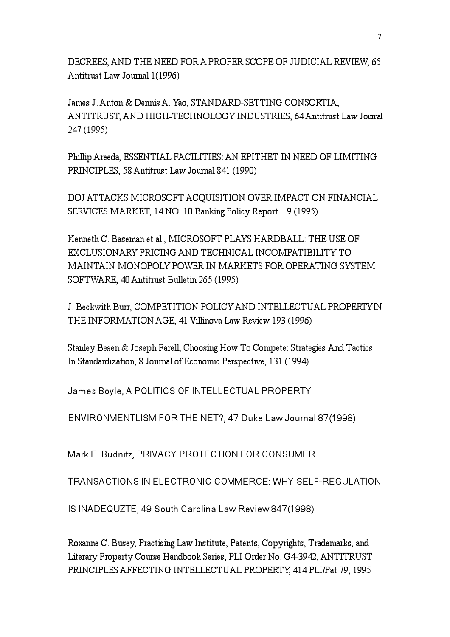DECREES, AND THE NEED FOR A PROPER SCOPE OF JUDICIAL REVIEW, 65 Antitrust Law Journal 1(1996)

James J. Anton & Dennis A. Yao, STANDARD-SETTING CONSORTIA, ANTITRUST, AND HIGH-TECHNOLOGY INDUSTRIES, 64 Antitrust Law Journal 247 (1995)

Phillip Areeda, ESSENTIAL FACILITIES: AN EPITHET IN NEED OF LIMITING PRINCIPLES, 58 Antitrust Law Journal 841 (1990)

DOJ ATTACKS MICROSOFT ACQUISITION OVER IMPACT ON FINANCIAL SERVICES MARKET, 14 NO. 10 Banking Policy Report 9 (1995)

Kenneth C. Baseman et al., MICROSOFT PLAYS HARDBALL: THE USE OF EXCLUSIONARY PRICING AND TECHNICAL INCOMPATIBILITY TO MAINTAIN MONOPOLY POWER IN MARKETS FOR OPERATING SYSTEM SOFTWARE, 40 Antitrust Bulletin 265 (1995)

J. Beckwith Burr, COMPETITION POLICY AND INTELLECTUAL PROPERTY IN THE INFORMATION AGE, 41 Villinova Law Review 193 (1996)

Stanley Besen & Joseph Farell, Choosing How To Compete: Strategies And Tactics In Standardization, 8 Journal of Economic Perspective, 131 (1994)

James Boyle, A POLITICS OF INTELLECTUAL PROPERTY

ENVIRONMENTLISM FOR THE NET?, 47 Duke Law Journal 87(1998)

Mark E. Budnitz, PRIVACY PROTECTION FOR CONSUMER

TRANSACTIONS IN ELECTRONIC COMMERCE: WHY SELF-REGULATION

IS INADEQUZTE, 49 South Carolina Law Review 847(1998)

Roxanne C. Busey, Practising Law Institute, Patents, Copyrights, Trademarks, and Literary Property Course Handbook Series, PLI Order No. G4-3942, ANTITRUST PRINCIPLES AFFECTING INTELLECTUAL PROPERTY, 414 PLI/Pat 79, 1995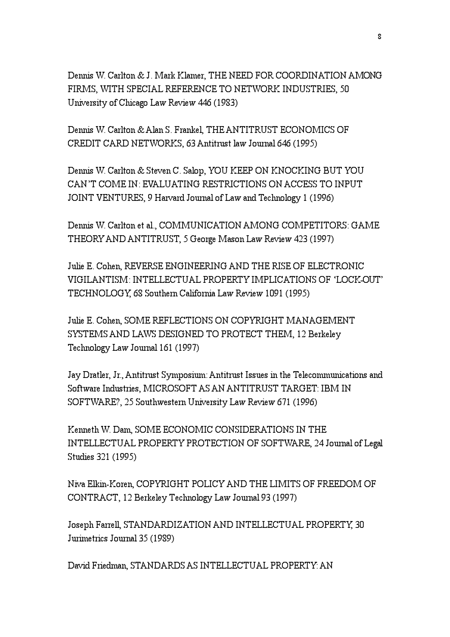Dennis W. Carlton & J. Mark Klamer, THE NEED FOR COORDINATION AMONG FIRMS, WITH SPECIAL REFERENCE TO NETWORK INDUSTRIES, 50 University of Chicago Law Review 446 (1983)

Dennis W. Carlton & Alan S. Frankel, THE ANTITRUST ECONOMICS OF CREDIT CARD NETWORKS, 63 Antitrust law Journal 646 (1995)

Dennis W. Carlton & Steven C. Salop, YOU KEEP ON KNOCKING BUT YOU CAN'T COME IN: EVALUATING RESTRICTIONS ON ACCESS TO INPUT JOINT VENTURES, 9 Harvard Journal of Law and Technology 1 (1996)

Dennis W. Carlton et al., COMMUNICATION AMONG COMPETITORS: GAME THEORY AND ANTITRUST, 5 George Mason Law Review 423 (1997)

Julie E. Cohen, REVERSE ENGINEERING AND THE RISE OF ELECTRONIC VIGILANTISM: INTELLECTUAL PROPERTY IMPLICATIONS OF 'LOCK-OUT' TECHNOLOGY, 68 Southern California Law Review 1091 (1995)

Julie E. Cohen, SOME REFLECTIONS ON COPYRIGHT MANAGEMENT SYSTEMS AND LAWS DESIGNED TO PROTECT THEM, 12 Berkeley Technology Law Journal 161 (1997)

Jay Dratler, Jr., Antitrust Symposium: Antitrust Issues in the Telecommunications and Software Industries, MICROSOFT AS AN ANTITRUST TARGET: IBM IN SOFTWARE?, 25 Southwestern University Law Review 671 (1996)

Kenneth W. Dam, SOME ECONOMIC CONSIDERATIONS IN THE INTELLECTUAL PROPERTY PROTECTION OF SOFTWARE, 24 Journal of Legal Studies 321 (1995)

Niva Elkin-Koren, COPYRIGHT POLICY AND THE LIMITS OF FREEDOM OF CONTRACT, 12 Berkeley Technology Law Journal 93 (1997)

Joseph Farrell, STANDARDIZATION AND INTELLECTUAL PROPERTY, 30 Jurimetrics Journal 35 (1989)

David Friedman, STANDARDS AS INTELLECTUAL PROPERTY: AN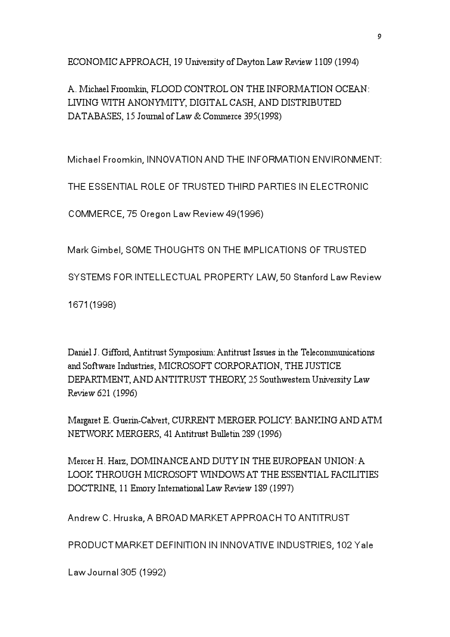ECONOMIC APPROACH, 19 University of Dayton Law Review 1109 (1994)

A. Michael Froomkin, FLOOD CONTROL ON THE INFORMATION OCEAN: LIVING WITH ANONYMITY, DIGITAL CASH, AND DISTRIBUTED DATABASES, 15 Journal of Law & Commerce 395(1998)

Michael Froomkin, INNOVATION AND THE INFORMATION ENVIRONMENT:

THE ESSENTIAL ROLE OF TRUSTED THIRD PARTIES IN ELECTRONIC

COMMERCE, 75 Oregon Law Review 49(1996)

Mark Gimbel, SOME THOUGHTS ON THE IMPLICATIONS OF TRUSTED

SYSTEMS FOR INTELLECTUAL PROPERTY LAW, 50 Stanford Law Review

1671(1998)

Daniel J. Gifford, Antitrust Symposium: Antitrust Issues in the Telecommunications and Software Industries, MICROSOFT CORPORATION, THE JUSTICE DEPARTMENT, AND ANTITRUST THEORY, 25 Southwestern University Law Review 621 (1996)

Margaret E. Guerin-Calvert, CURRENT MERGER POLICY: BANKING AND ATM NETWORK MERGERS, 41 Antitrust Bulletin 289 (1996)

Mercer H. Harz, DOMINANCE AND DUTY IN THE EUROPEAN UNION: A LOOK THROUGH MICROSOFT WINDOWS AT THE ESSENTIAL FACILITIES DOCTRINE, 11 Emory International Law Review 189 (1997)

Andrew C. Hruska, A BROAD MARKET APPROACH TO ANTITRUST

PRODUCT MARKET DEFINITION IN INNOVATIVE INDUSTRIES, 102 Yale

Law Journal 305 (1992)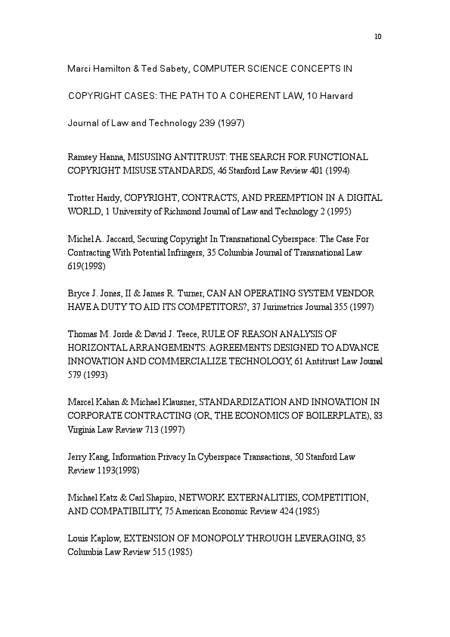Marci Hamilton & Ted Sabety, COMPUTER SCIENCE CONCEPTS IN

COPYRIGHT CASES: THE PATH TO A COHERENT LAW, 10 Harvard

Journal of Law and Technology 239 (1997)

Ramsey Hanna, MISUSING ANTITRUST: THE SEARCH FOR FUNCTIONAL COPYRIGHT MISUSE STANDARDS, 46 Stanford Law Review 401 (1994)

Trotter Hardy, COPYRIGHT, CONTRACTS, AND PREEMPTION IN A DIGITAL WORLD, 1 University of Richmond Journal of Law and Technology 2 (1995)

Michel A. Jaccard, Securing Copyright In Transnational Cyberspace: The Case For Contracting With Potential Infringers, 35 Columbia Journal of Transnational Law 619(1998)

Bryce J. Jones, II & James R. Turner, CAN AN OPERATING SYSTEM VENDOR HAVE A DUTY TO AID ITS COMPETITORS?, 37 Jurimetrics Journal 355 (1997)

Thomas M. Jorde & David J. Teece, RULE OF REASON ANALYSIS OF HORIZONTAL ARRANGEMENTS: AGREEMENTS DESIGNED TO ADVANCE INNOVATION AND COMMERCIALIZE TECHNOLOGY, 61 Antitrust Law Journal 579 (1993)

Marcel Kahan & Michael Klausner, STANDARDIZATION AND INNOVATION IN CORPORATE CONTRACTING (OR, THE ECONOMICS OF BOILERPLATE), 83 Virginia Law Review 713 (1997)

Jerry Kang, Information Privacy In Cyberspace Transactions, 50 Stanford Law Review 1193(1998)

Michael Katz & Carl Shapiro, NETWORK EXTERNALITIES, COMPETITION, AND COMPATIBILITY, 75 American Economic Review 424 (1985)

Louis Kaplow, EXTENSION OF MONOPOLY THROUGH LEVERAGING, 85 Columbia Law Review 515 (1985)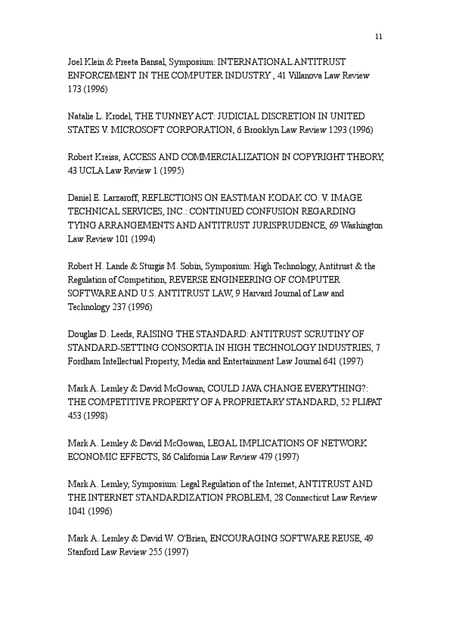Joel Klein & Preeta Bansal, Symposium: INTERNATIONAL ANTITRUST ENFORCEMENT IN THE COMPUTER INDUSTRY , 41 Villanova Law Review 173 (1996)

Natalie L. Krodel, THE TUNNEY ACT: JUDICIAL DISCRETION IN UNITED STATES V. MICROSOFT CORPORATION, 6 Brooklyn Law Review 1293 (1996)

Robert Kreiss, ACCESS AND COMMERCIALIZATION IN COPYRIGHT THEORY, 43 UCLA Law Review 1 (1995)

Daniel E. Larzaroff, REFLECTIONS ON EASTMAN KODAK CO. V. IMAGE TECHNICAL SERVICES, INC.: CONTINUED CONFUSION REGARDING TYING ARRANGEMENTS AND ANTITRUST JURISPRUDENCE, 69 Washington Law Review 101 (1994)

Robert H. Lande & Sturgis M. Sobin, Symposium: High Technology, Antitrust & the Regulation of Competition, REVERSE ENGINEERING OF COMPUTER SOFTWARE AND U.S. ANTITRUST LAW, 9 Harvard Journal of Law and Technology 237 (1996)

Douglas D. Leeds, RAISING THE STANDARD: ANTITRUST SCRUTINY OF STANDARD-SETTING CONSORTIA IN HIGH TECHNOLOGY INDUSTRIES, 7 Fordham Intellectual Property, Media and Entertainment Law Journal 641 (1997)

Mark A. Lemley & David McGowan, COULD JAVA CHANGE EVERYTHING?: THE COMPETITIVE PROPERTY OF A PROPRIETARY STANDARD, 52 PLI/PAT 453 (1998)

Mark A. Lemley & David McGowan, LEGAL IMPLICATIONS OF NETWORK ECONOMIC EFFECTS, 86 California Law Review 479 (1997)

Mark A. Lemley, Symposium: Legal Regulation of the Internet, ANTITRUST AND THE INTERNET STANDARDIZATION PROBLEM, 28 Connecticut Law Review 1041 (1996)

Mark A. Lemley & David W. O'Brien, ENCOURAGING SOFTWARE REUSE, 49 Stanford Law Review 255 (1997)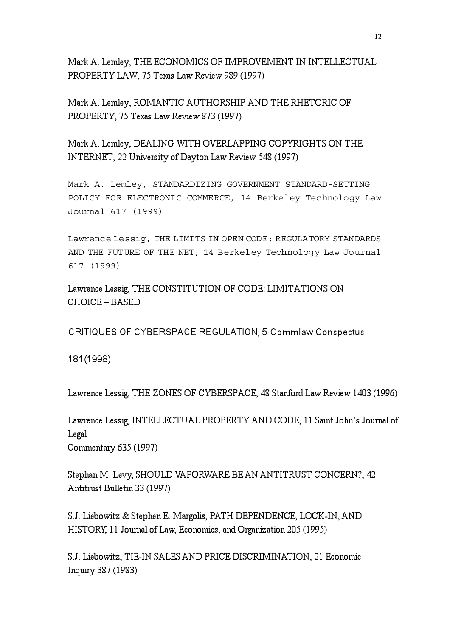Mark A. Lemley, THE ECONOMICS OF IMPROVEMENT IN INTELLECTUAL PROPERTY LAW, 75 Texas Law Review 989 (1997)

Mark A. Lemley, ROMANTIC AUTHORSHIP AND THE RHETORIC OF PROPERTY, 75 Texas Law Review 873 (1997)

Mark A. Lemley, DEALING WITH OVERLAPPING COPYRIGHTS ON THE INTERNET, 22 University of Dayton Law Review 548 (1997)

Mark A. Lemley, STANDARDIZING GOVERNMENT STANDARD-SETTING POLICY FOR ELECTRONIC COMMERCE, 14 Berkeley Technology Law Journal 617 (1999)

Lawrence Lessig, THE LIMITS IN OPEN CODE: REGULATORY STANDARDS AND THE FUTURE OF THE NET, 14 Berkeley Technology Law Journal 617 (1999)

Lawrence Lessig, THE CONSTITUTION OF CODE: LIMITATIONS ON CHOICE – BASED

CRITIQUES OF CYBERSPACE REGULATION, 5 Commlaw Conspectus

181(1998)

Lawrence Lessig, THE ZONES OF CYBERSPACE, 48 Stanford Law Review 1403 (1996)

Lawrence Lessig, INTELLECTUAL PROPERTY AND CODE, 11 Saint John's Journal of Legal Commentary 635 (1997)

Stephan M. Levy, SHOULD VAPORWARE BE AN ANTITRUST CONCERN?, 42 Antitrust Bulletin 33 (1997)

S.J. Liebowitz & Stephen E. Margolis, PATH DEPENDENCE, LOCK-IN, AND HISTORY, 11 Journal of Law, Economics, and Organization 205 (1995)

S.J. Liebowitz, TIE-IN SALES AND PRICE DISCRIMINATION, 21 Economic Inquiry 387 (1983)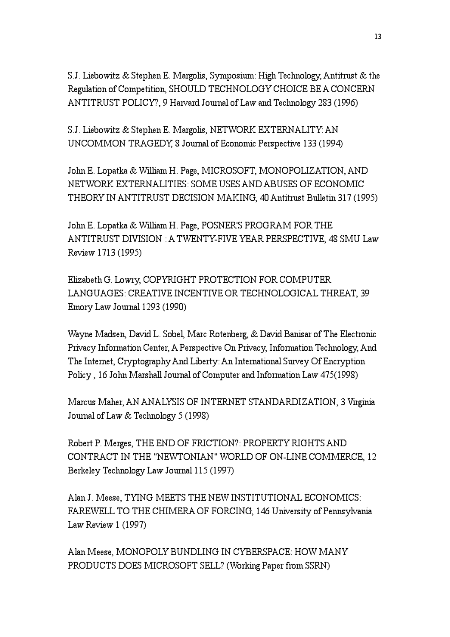S.J. Liebowitz & Stephen E. Margolis, Symposium: High Technology, Antitrust & the Regulation of Competition, SHOULD TECHNOLOGY CHOICE BE A CONCERN ANTITRUST POLICY?, 9 Harvard Journal of Law and Technology 283 (1996)

S.J. Liebowitz & Stephen E. Margolis, NETWORK EXTERNALITY: AN UNCOMMON TRAGEDY, 8 Journal of Economic Perspective 133 (1994)

John E. Lopatka & William H. Page, MICROSOFT, MONOPOLIZATION, AND NETWORK EXTERNALITIES: SOME USES AND ABUSES OF ECONOMIC THEORY IN ANTITRUST DECISION MAKING, 40 Antitrust Bulletin 317 (1995)

John E. Lopatka & William H. Page, POSNER'S PROGRAM FOR THE ANTITRUST DIVISION : A TWENTY-FIVE YEAR PERSPECTIVE, 48 SMU Law Review 1713 (1995)

Elizabeth G. Lowry, COPYRIGHT PROTECTION FOR COMPUTER LANGUAGES: CREATIVE INCENTIVE OR TECHNOLOGICAL THREAT, 39 Emory Law Journal 1293 (1990)

Wayne Madsen, David L. Sobel, Marc Rotenberg, & David Banisar of The Electronic Privacy Information Center, A Perspective On Privacy, Information Technology, And The Internet, Cryptography And Liberty: An International Survey Of Encryption Policy , 16 John Marshall Journal of Computer and Information Law 475(1998)

Marcus Maher, AN ANALYSIS OF INTERNET STANDARDIZATION, 3 Virginia Journal of Law & Technology 5 (1998)

Robert P. Merges, THE END OF FRICTION?: PROPERTY RIGHTS AND CONTRACT IN THE "NEWTONIAN" WORLD OF ON-LINE COMMERCE, 12 Berkeley Technology Law Journal 115 (1997)

Alan J. Meese, TYING MEETS THE NEW INSTITUTIONAL ECONOMICS: FAREWELL TO THE CHIMERA OF FORCING, 146 University of Pennsylvania Law Review 1 (1997)

Alan Meese, MONOPOLY BUNDLING IN CYBERSPACE: HOW MANY PRODUCTS DOES MICROSOFT SELL? (Working Paper from SSRN)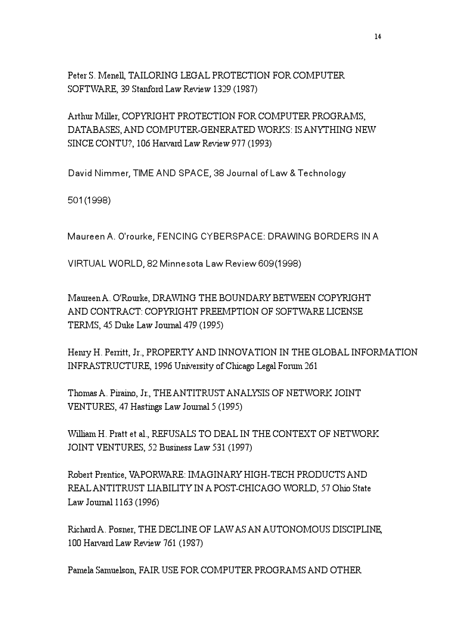Peter S. Menell, TAILORING LEGAL PROTECTION FOR COMPUTER SOFTWARE, 39 Stanford Law Review 1329 (1987)

Arthur Miller, COPYRIGHT PROTECTION FOR COMPUTER PROGRAMS, DATABASES, AND COMPUTER-GENERATED WORKS: IS ANYTHING NEW SINCE CONTU?, 106 Harvard Law Review 977 (1993)

David Nimmer, TIME AND SPACE, 38 Journal of Law & Technology

501 (1998)

Maureen A. O'rourke, FENCING CYBERSPACE: DRAWING BORDERS IN A

VIRTUAL WORLD, 82 Minnesota Law Review 609(1998)

Maureen A. O'Rourke, DRAWING THE BOUNDARY BETWEEN COPYRIGHT AND CONTRACT: COPYRIGHT PREEMPTION OF SOFTWARE LICENSE TERMS, 45 Duke Law Journal 479 (1995)

Henry H. Perritt, Jr., PROPERTY AND INNOVATION IN THE GLOBAL INFORMATION INFRASTRUCTURE, 1996 University of Chicago Legal Forum 261

Thomas A. Piraino, Jr., THE ANTITRUST ANALYSIS OF NETWORK JOINT VENTURES, 47 Hastings Law Journal 5 (1995)

William H. Pratt et al., REFUSALS TO DEAL IN THE CONTEXT OF NETWORK JOINT VENTURES, 52 Business Law 531 (1997)

Robert Prentice, VAPORWARE: IMAGINARY HIGH-TECH PRODUCTS AND REAL ANTITRUST LIABILITY IN A POST-CHICAGO WORLD, 57 Ohio State Law Journal 1163 (1996)

Richard A. Posner, THE DECLINE OF LAW AS AN AUTONOMOUS DISCIPLINE, 100 Harvard Law Review 761 (1987)

Pamela Samuelson, FAIR USE FOR COMPUTER PROGRAMS AND OTHER